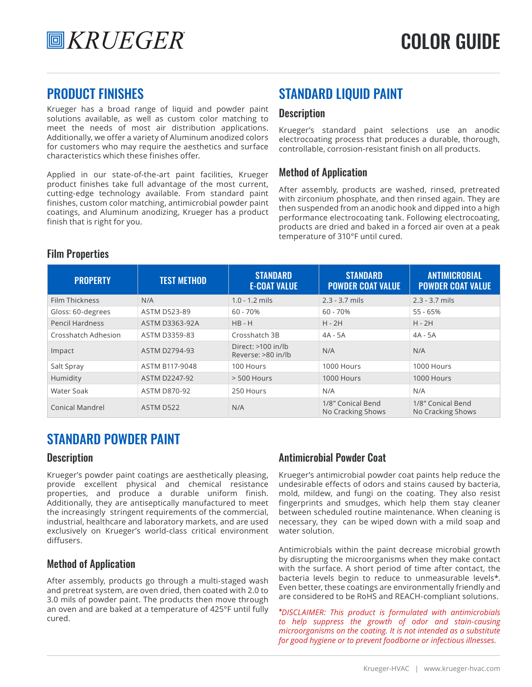Krueger has a broad range of liquid and powder paint solutions available, as well as custom color matching to meet the needs of most air distribution applications. Additionally, we offer a variety of Aluminum anodized colors for customers who may require the aesthetics and surface characteristics which these finishes offer.

Applied in our state-of-the-art paint facilities, Krueger product finishes take full advantage of the most current, cutting-edge technology available. From standard paint finishes, custom color matching, antimicrobial powder paint coatings, and Aluminum anodizing, Krueger has a product finish that is right for you.

### PRODUCT FINISHES STANDARD LIQUID PAINT

### **Description**

Krueger's standard paint selections use an anodic electrocoating process that produces a durable, thorough, controllable, corrosion-resistant finish on all products.

### Method of Application

After assembly, products are washed, rinsed, pretreated with zirconium phosphate, and then rinsed again. They are then suspended from an anodic hook and dipped into a high performance electrocoating tank. Following electrocoating, products are dried and baked in a forced air oven at a peak temperature of 310°F until cured.

| <b>PROPERTY</b>        | <b>TEST METHOD</b>   | <b>STANDARD</b><br><b>E-COAT VALUE</b>   | <b>STANDARD</b><br><b>POWDER COAT VALUE</b> | <b>ANTIMICROBIAL</b><br><b>POWDER COAT VALUE</b> |
|------------------------|----------------------|------------------------------------------|---------------------------------------------|--------------------------------------------------|
| Film Thickness         | N/A                  | $1.0 - 1.2$ mils                         | $2.3 - 3.7$ mils                            | $2.3 - 3.7$ mils                                 |
| Gloss: 60-degrees      | <b>ASTM D523-89</b>  | $60 - 70%$                               | $60 - 70%$                                  | $55 - 65%$                                       |
| <b>Pencil Hardness</b> | ASTM D3363-92A       | $HB - H$                                 | $H - 2H$                                    | $H - 2H$                                         |
| Crosshatch Adhesion    | ASTM D3359-83        | Crosshatch 3B                            | 4A - 5A                                     | 4A - 5A                                          |
| Impact                 | ASTM D2794-93        | Direct: >100 in/lb<br>Reverse: >80 in/lb | N/A                                         | N/A                                              |
| Salt Spray             | ASTM B117-9048       | 100 Hours                                | 1000 Hours                                  | 1000 Hours                                       |
| Humidity               | <b>ASTM D2247-92</b> | $> 500$ Hours                            | 1000 Hours                                  | 1000 Hours                                       |
| Water Soak             | <b>ASTM D870-92</b>  | 250 Hours                                | N/A                                         | N/A                                              |
| <b>Conical Mandrel</b> | ASTM D522            | N/A                                      | 1/8" Conical Bend<br>No Cracking Shows      | 1/8" Conical Bend<br>No Cracking Shows           |

### Film Properties

## STANDARD POWDER PAINT

### **Description**

Krueger's powder paint coatings are aesthetically pleasing, provide excellent physical and chemical resistance properties, and produce a durable uniform finish. Additionally, they are antiseptically manufactured to meet the increasingly stringent requirements of the commercial, industrial, healthcare and laboratory markets, and are used exclusively on Krueger's world-class critical environment diffusers.

### Method of Application

After assembly, products go through a multi-staged wash and pretreat system, are oven dried, then coated with 2.0 to 3.0 mils of powder paint. The products then move through an oven and are baked at a temperature of 425°F until fully cured.

### Antimicrobial Powder Coat

Krueger's antimicrobial powder coat paints help reduce the undesirable effects of odors and stains caused by bacteria, mold, mildew, and fungi on the coating. They also resist fingerprints and smudges, which help them stay cleaner between scheduled routine maintenance. When cleaning is necessary, they can be wiped down with a mild soap and water solution.

Antimicrobials within the paint decrease microbial growth by disrupting the microorganisms when they make contact with the surface. A short period of time after contact, the bacteria levels begin to reduce to unmeasurable levels\*. Even better, these coatings are environmentally friendly and are considered to be RoHS and REACH-compliant solutions.

\**DISCLAIMER: This product is formulated with antimicrobials to help suppress the growth of odor and stain-causing microorganisms on the coating. It is not intended as a substitute for good hygiene or to prevent foodborne or infectious illnesses.*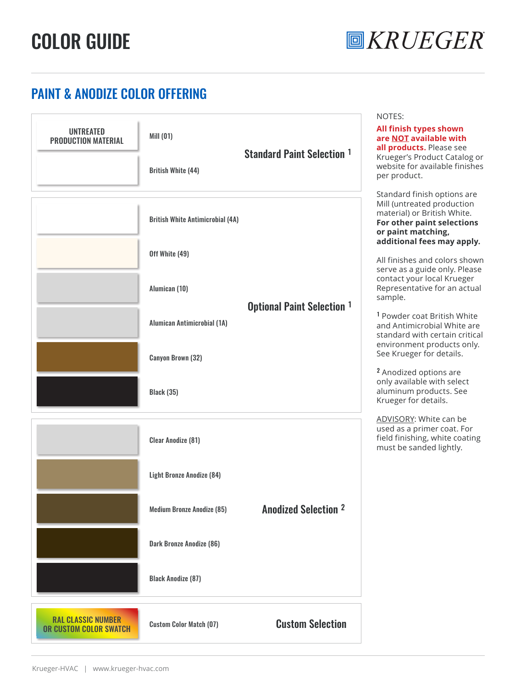# COLOR GUIDE



# PAINT & ANODIZE COLOR OFFERING

| <b>UNTREATED</b><br><b>PRODUCTION MATERIAL</b>      | Mill (01)<br><b>British White (44)</b>                        | <b>Standard Paint Selection 1</b> | NOTES:<br>All finish types shown<br>are NOT available with<br>all products. Please see<br>Krueger's Product Catalog or<br>website for available finishes<br>per product.                                                                                                                                                                                    |
|-----------------------------------------------------|---------------------------------------------------------------|-----------------------------------|-------------------------------------------------------------------------------------------------------------------------------------------------------------------------------------------------------------------------------------------------------------------------------------------------------------------------------------------------------------|
|                                                     | <b>British White Antimicrobial (4A)</b><br>Off White (49)     |                                   | Standard finish options are<br>Mill (untreated production<br>material) or British White.<br>For other paint selections<br>or paint matching,<br>additional fees may apply.<br>All finishes and colors shown<br>serve as a guide only. Please<br>contact your local Krueger                                                                                  |
|                                                     | Alumican (10)<br>Alumican Antimicrobial (1A)                  | <b>Optional Paint Selection 1</b> | Representative for an actual<br>sample.<br><sup>1</sup> Powder coat British White<br>and Antimicrobial White are<br>standard with certain critical<br>environment products only.<br>See Krueger for details.<br><sup>2</sup> Anodized options are<br>only available with select<br>aluminum products. See<br>Krueger for details.<br>ADVISORY: White can be |
|                                                     | <b>Canyon Brown (32)</b><br><b>Black (35)</b>                 |                                   |                                                                                                                                                                                                                                                                                                                                                             |
|                                                     | <b>Clear Anodize (81)</b><br><b>Light Bronze Anodize (84)</b> |                                   | used as a primer coat. For<br>field finishing, white coating<br>must be sanded lightly.                                                                                                                                                                                                                                                                     |
|                                                     | <b>Medium Bronze Anodize (85)</b><br>Dark Bronze Anodize (86) | <b>Anodized Selection 2</b>       |                                                                                                                                                                                                                                                                                                                                                             |
| <b>RAL CLASSIC NUMBER</b><br>OR CUSTOM COLOR SWATCH | <b>Black Anodize (87)</b><br><b>Custom Color Match (07)</b>   | <b>Custom Selection</b>           |                                                                                                                                                                                                                                                                                                                                                             |